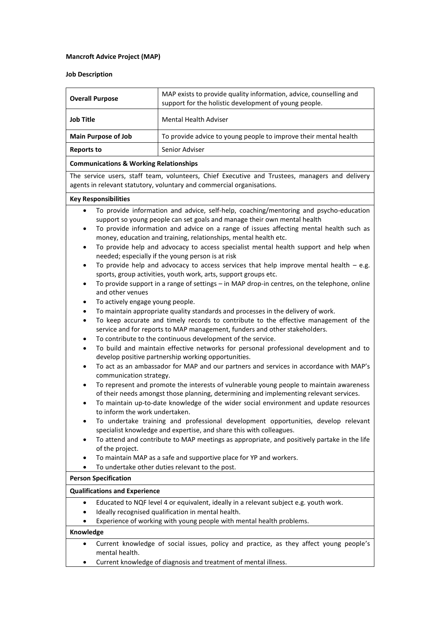## **Mancroft Advice Project (MAP)**

## **Job Description**

| <b>Overall Purpose</b>     | MAP exists to provide quality information, advice, counselling and<br>support for the holistic development of young people. |
|----------------------------|-----------------------------------------------------------------------------------------------------------------------------|
| <b>Job Title</b>           | <b>Mental Health Adviser</b>                                                                                                |
| <b>Main Purpose of Job</b> | To provide advice to young people to improve their mental health                                                            |
| <b>Reports to</b>          | Senior Adviser                                                                                                              |
|                            |                                                                                                                             |

## **Communications & Working Relationships**

The service users, staff team, volunteers, Chief Executive and Trustees, managers and delivery agents in relevant statutory, voluntary and commercial organisations.

#### **Key Responsibilities**

- To provide information and advice, self-help, coaching/mentoring and psycho-education support so young people can set goals and manage their own mental health
- To provide information and advice on a range of issues affecting mental health such as money, education and training, relationships, mental health etc.
- To provide help and advocacy to access specialist mental health support and help when needed; especially if the young person is at risk
- To provide help and advocacy to access services that help improve mental health  $-$  e.g. sports, group activities, youth work, arts, support groups etc.
- To provide support in a range of settings in MAP drop-in centres, on the telephone, online and other venues
- To actively engage young people.
- To maintain appropriate quality standards and processes in the delivery of work.
- To keep accurate and timely records to contribute to the effective management of the service and for reports to MAP management, funders and other stakeholders.
- To contribute to the continuous development of the service.
- To build and maintain effective networks for personal professional development and to develop positive partnership working opportunities.
- To act as an ambassador for MAP and our partners and services in accordance with MAP's communication strategy.
- To represent and promote the interests of vulnerable young people to maintain awareness of their needs amongst those planning, determining and implementing relevant services.
- To maintain up-to-date knowledge of the wider social environment and update resources to inform the work undertaken.
- To undertake training and professional development opportunities, develop relevant specialist knowledge and expertise, and share this with colleagues.
- To attend and contribute to MAP meetings as appropriate, and positively partake in the life of the project.
- To maintain MAP as a safe and supportive place for YP and workers.
- To undertake other duties relevant to the post.

#### **Person Specification**

## **Qualifications and Experience**

- Educated to NQF level 4 or equivalent, ideally in a relevant subject e.g. youth work.
- Ideally recognised qualification in mental health.
- Experience of working with young people with mental health problems.

# **Knowledge**

- Current knowledge of social issues, policy and practice, as they affect young people's mental health.
- Current knowledge of diagnosis and treatment of mental illness.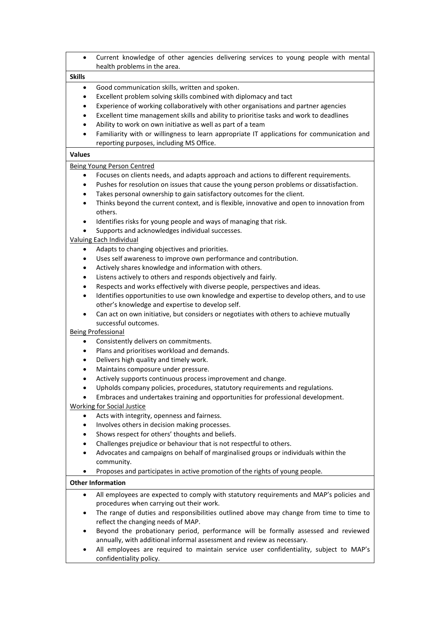| $\bullet$                                         | Current knowledge of other agencies delivering services to young people with mental<br>health problems in the area. |  |
|---------------------------------------------------|---------------------------------------------------------------------------------------------------------------------|--|
| <b>Skills</b>                                     |                                                                                                                     |  |
| $\bullet$                                         | Good communication skills, written and spoken.                                                                      |  |
| $\bullet$                                         | Excellent problem solving skills combined with diplomacy and tact                                                   |  |
| ٠                                                 | Experience of working collaboratively with other organisations and partner agencies                                 |  |
| $\bullet$                                         | Excellent time management skills and ability to prioritise tasks and work to deadlines                              |  |
| $\bullet$                                         | Ability to work on own initiative as well as part of a team                                                         |  |
| $\bullet$                                         | Familiarity with or willingness to learn appropriate IT applications for communication and                          |  |
|                                                   | reporting purposes, including MS Office.                                                                            |  |
| <b>Values</b>                                     |                                                                                                                     |  |
|                                                   | <b>Being Young Person Centred</b>                                                                                   |  |
| $\bullet$                                         | Focuses on clients needs, and adapts approach and actions to different requirements.                                |  |
| $\bullet$                                         | Pushes for resolution on issues that cause the young person problems or dissatisfaction.                            |  |
| $\bullet$                                         | Takes personal ownership to gain satisfactory outcomes for the client.                                              |  |
| $\bullet$                                         | Thinks beyond the current context, and is flexible, innovative and open to innovation from<br>others.               |  |
| $\bullet$                                         | Identifies risks for young people and ways of managing that risk.                                                   |  |
| $\bullet$                                         | Supports and acknowledges individual successes.                                                                     |  |
| Valuing Each Individual                           |                                                                                                                     |  |
| ٠                                                 | Adapts to changing objectives and priorities.                                                                       |  |
| ٠                                                 | Uses self awareness to improve own performance and contribution.                                                    |  |
| ٠                                                 | Actively shares knowledge and information with others.                                                              |  |
| $\bullet$                                         | Listens actively to others and responds objectively and fairly.                                                     |  |
| ٠                                                 | Respects and works effectively with diverse people, perspectives and ideas.                                         |  |
| $\bullet$                                         | Identifies opportunities to use own knowledge and expertise to develop others, and to use                           |  |
|                                                   | other's knowledge and expertise to develop self.                                                                    |  |
| $\bullet$                                         | Can act on own initiative, but considers or negotiates with others to achieve mutually                              |  |
| successful outcomes.<br><b>Being Professional</b> |                                                                                                                     |  |
| $\bullet$                                         | Consistently delivers on commitments.                                                                               |  |
| ٠                                                 | Plans and prioritises workload and demands.                                                                         |  |
| ٠                                                 | Delivers high quality and timely work.                                                                              |  |
| ٠                                                 | Maintains composure under pressure.                                                                                 |  |
|                                                   | Actively supports continuous process improvement and change.                                                        |  |
| ٠                                                 | Upholds company policies, procedures, statutory requirements and regulations.                                       |  |
|                                                   | Embraces and undertakes training and opportunities for professional development.                                    |  |
|                                                   | <b>Working for Social Justice</b>                                                                                   |  |
| ٠                                                 | Acts with integrity, openness and fairness.                                                                         |  |
| ٠                                                 | Involves others in decision making processes.                                                                       |  |
| ٠                                                 | Shows respect for others' thoughts and beliefs.                                                                     |  |
| ٠                                                 | Challenges prejudice or behaviour that is not respectful to others.                                                 |  |
| ٠                                                 | Advocates and campaigns on behalf of marginalised groups or individuals within the<br>community.                    |  |
|                                                   | Proposes and participates in active promotion of the rights of young people.                                        |  |
| <b>Other Information</b>                          |                                                                                                                     |  |
| $\bullet$                                         | All employees are expected to comply with statutory requirements and MAP's policies and                             |  |
|                                                   | procedures when carrying out their work.                                                                            |  |
| $\bullet$                                         | The range of duties and responsibilities outlined above may change from time to time to                             |  |
|                                                   | reflect the changing needs of MAP.                                                                                  |  |
|                                                   | Beyond the probationary period, performance will be formally assessed and reviewed                                  |  |
|                                                   | annually, with additional informal assessment and review as necessary.                                              |  |
|                                                   | All employees are required to maintain service user confidentiality, subject to MAP's<br>confidentiality policy.    |  |